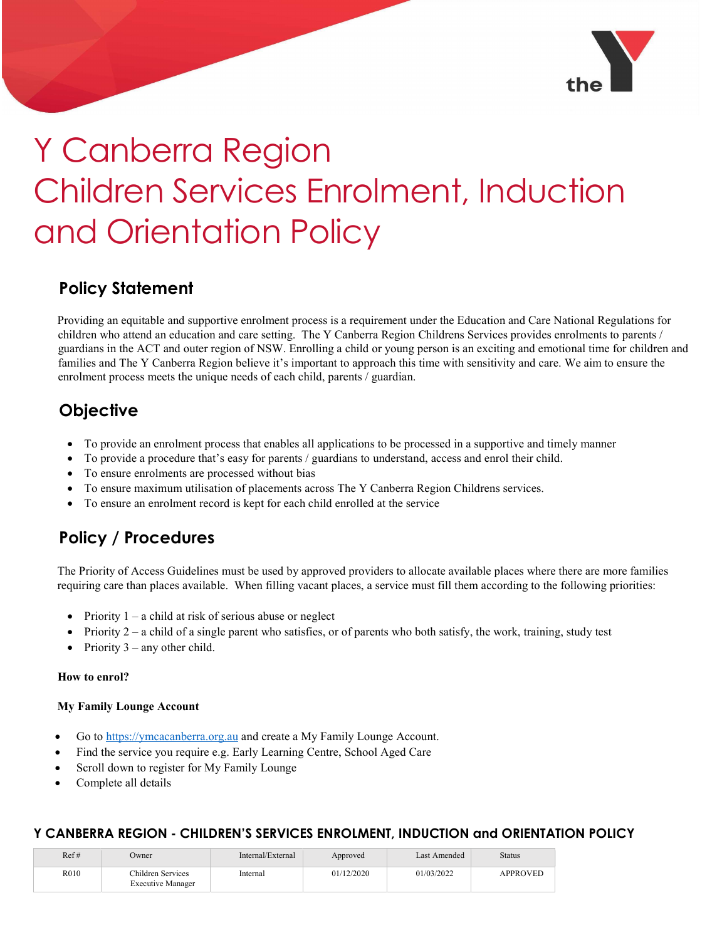

# Y Canberra Region Children Services Enrolment, Induction and Orientation Policy

## Policy Statement

Providing an equitable and supportive enrolment process is a requirement under the Education and Care National Regulations for children who attend an education and care setting. The Y Canberra Region Childrens Services provides enrolments to parents / guardians in the ACT and outer region of NSW. Enrolling a child or young person is an exciting and emotional time for children and families and The Y Canberra Region believe it's important to approach this time with sensitivity and care. We aim to ensure the enrolment process meets the unique needs of each child, parents / guardian.

## **Objective**

- To provide an enrolment process that enables all applications to be processed in a supportive and timely manner
- To provide a procedure that's easy for parents / guardians to understand, access and enrol their child.
- To ensure enrolments are processed without bias
- To ensure maximum utilisation of placements across The Y Canberra Region Childrens services.
- To ensure an enrolment record is kept for each child enrolled at the service

# Policy / Procedures

The Priority of Access Guidelines must be used by approved providers to allocate available places where there are more families requiring care than places available. When filling vacant places, a service must fill them according to the following priorities:

- Priority 1 a child at risk of serious abuse or neglect
- Priority  $2 a$  child of a single parent who satisfies, or of parents who both satisfy, the work, training, study test
- Priority 3 any other child.

#### How to enrol?

#### My Family Lounge Account

- Go to https://ymcacanberra.org.au and create a My Family Lounge Account.
- Find the service you require e.g. Early Learning Centre, School Aged Care
- Scroll down to register for My Family Lounge
- Complete all details

| Ref# | Owner                                         | Internal/External | Approved   | Last Amended | Status          |
|------|-----------------------------------------------|-------------------|------------|--------------|-----------------|
| R010 | Children Services<br><b>Executive Manager</b> | Internal          | 01/12/2020 | 01/03/2022   | <b>APPROVED</b> |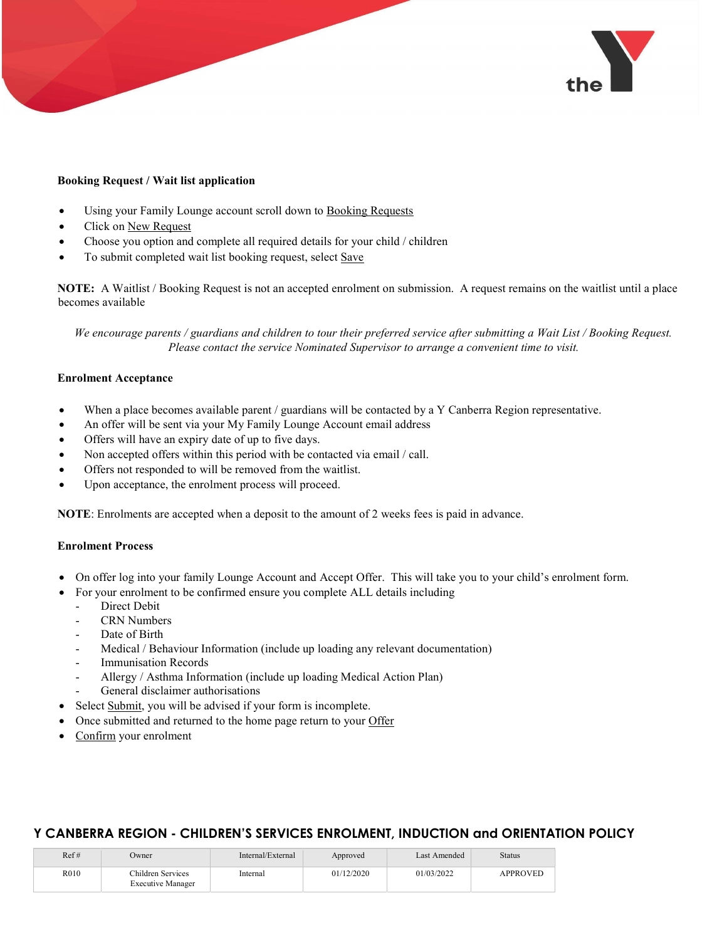

#### Booking Request / Wait list application

- Using your Family Lounge account scroll down to Booking Requests
- Click on New Request
- Choose you option and complete all required details for your child / children
- To submit completed wait list booking request, select Save

NOTE: A Waitlist / Booking Request is not an accepted enrolment on submission. A request remains on the waitlist until a place becomes available

We encourage parents / guardians and children to tour their preferred service after submitting a Wait List / Booking Request. Please contact the service Nominated Supervisor to arrange a convenient time to visit.

#### Enrolment Acceptance

- When a place becomes available parent / guardians will be contacted by a Y Canberra Region representative.
- An offer will be sent via your My Family Lounge Account email address
- Offers will have an expiry date of up to five days.
- Non accepted offers within this period with be contacted via email / call.
- Offers not responded to will be removed from the waitlist.
- Upon acceptance, the enrolment process will proceed.

NOTE: Enrolments are accepted when a deposit to the amount of 2 weeks fees is paid in advance.

#### Enrolment Process

- On offer log into your family Lounge Account and Accept Offer. This will take you to your child's enrolment form.
- For your enrolment to be confirmed ensure you complete ALL details including
	- Direct Debit
	- CRN Numbers
	- Date of Birth
	- Medical / Behaviour Information (include up loading any relevant documentation)
	- Immunisation Records
	- Allergy / Asthma Information (include up loading Medical Action Plan)
	- General disclaimer authorisations
- Select Submit, you will be advised if your form is incomplete.
- Once submitted and returned to the home page return to your Offer
- Confirm your enrolment

| Ref# | Owner                                         | Internal/External | Approved   | Last Amended | Status          |
|------|-----------------------------------------------|-------------------|------------|--------------|-----------------|
| R010 | Children Services<br><b>Executive Manager</b> | Internal          | 01/12/2020 | 01/03/2022   | <b>APPROVED</b> |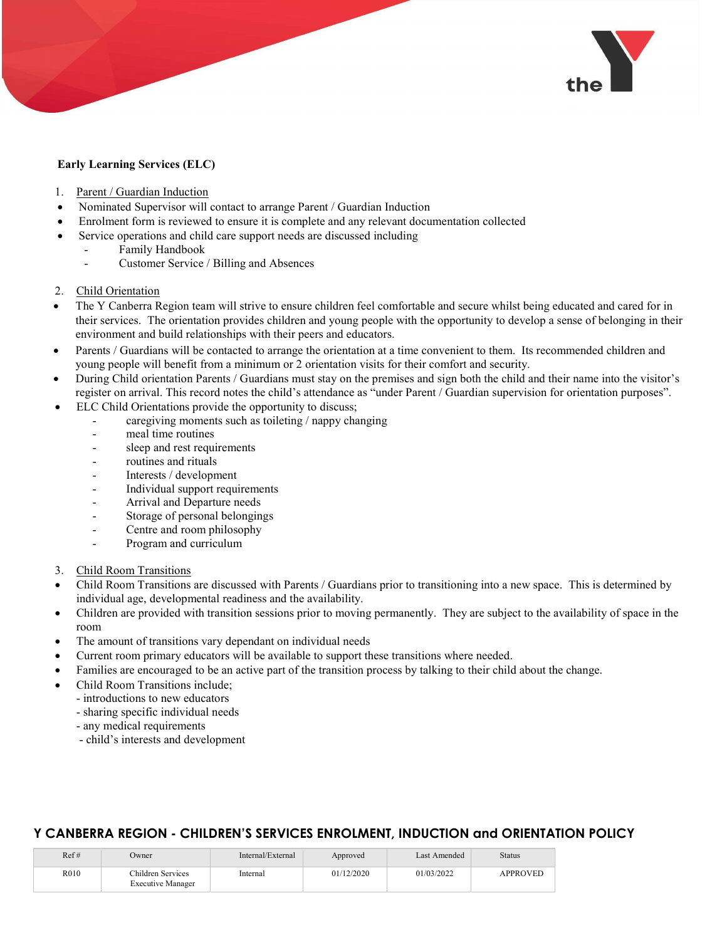

#### Early Learning Services (ELC)

- 1. Parent / Guardian Induction
- Nominated Supervisor will contact to arrange Parent / Guardian Induction
- Enrolment form is reviewed to ensure it is complete and any relevant documentation collected
	- Service operations and child care support needs are discussed including
		- Family Handbook
		- Customer Service / Billing and Absences
- 2. Child Orientation
- The Y Canberra Region team will strive to ensure children feel comfortable and secure whilst being educated and cared for in their services. The orientation provides children and young people with the opportunity to develop a sense of belonging in their environment and build relationships with their peers and educators.
- Parents / Guardians will be contacted to arrange the orientation at a time convenient to them. Its recommended children and young people will benefit from a minimum or 2 orientation visits for their comfort and security.
- During Child orientation Parents / Guardians must stay on the premises and sign both the child and their name into the visitor's register on arrival. This record notes the child's attendance as "under Parent / Guardian supervision for orientation purposes".
- ELC Child Orientations provide the opportunity to discuss;
	- caregiving moments such as toileting / nappy changing
	- meal time routines
	- sleep and rest requirements
	- routines and rituals
	- Interests / development
	- Individual support requirements
	- Arrival and Departure needs
	- Storage of personal belongings
	- Centre and room philosophy
	- Program and curriculum
- 3. Child Room Transitions
- Child Room Transitions are discussed with Parents / Guardians prior to transitioning into a new space. This is determined by individual age, developmental readiness and the availability.
- Children are provided with transition sessions prior to moving permanently. They are subject to the availability of space in the room
- The amount of transitions vary dependant on individual needs
- Current room primary educators will be available to support these transitions where needed.
- Families are encouraged to be an active part of the transition process by talking to their child about the change.
- Child Room Transitions include;
	- introductions to new educators
		- sharing specific individual needs
		- any medical requirements
		- child's interests and development

| Ref# | Dwner                                         | Internal/External | Approved   | Last Amended | Status          |
|------|-----------------------------------------------|-------------------|------------|--------------|-----------------|
| R010 | Children Services<br><b>Executive Manager</b> | Internal          | 01/12/2020 | 01/03/2022   | <b>APPROVED</b> |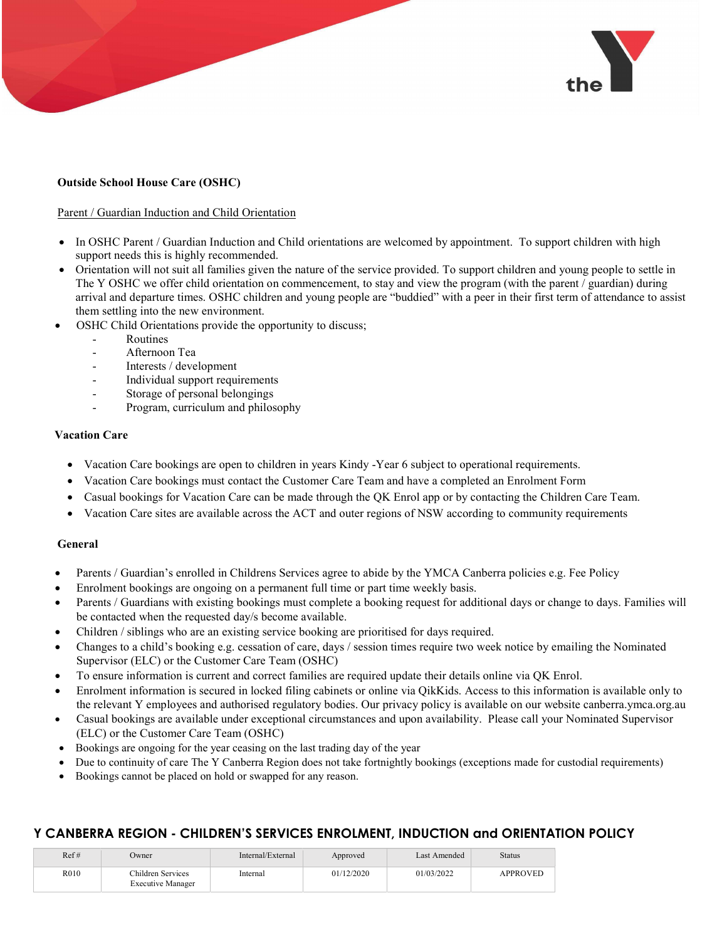

#### Outside School House Care (OSHC)

#### Parent / Guardian Induction and Child Orientation

- In OSHC Parent / Guardian Induction and Child orientations are welcomed by appointment. To support children with high support needs this is highly recommended.
- Orientation will not suit all families given the nature of the service provided. To support children and young people to settle in The Y OSHC we offer child orientation on commencement, to stay and view the program (with the parent / guardian) during arrival and departure times. OSHC children and young people are "buddied" with a peer in their first term of attendance to assist them settling into the new environment.
- OSHC Child Orientations provide the opportunity to discuss;
	- **Routines**
	- Afternoon Tea
	- Interests / development
	- Individual support requirements
	- Storage of personal belongings
	- Program, curriculum and philosophy

#### Vacation Care

- Vacation Care bookings are open to children in years Kindy -Year 6 subject to operational requirements.
- Vacation Care bookings must contact the Customer Care Team and have a completed an Enrolment Form
- Casual bookings for Vacation Care can be made through the QK Enrol app or by contacting the Children Care Team.
- Vacation Care sites are available across the ACT and outer regions of NSW according to community requirements

#### General

- Parents / Guardian's enrolled in Childrens Services agree to abide by the YMCA Canberra policies e.g. Fee Policy
- Enrolment bookings are ongoing on a permanent full time or part time weekly basis.
- Parents / Guardians with existing bookings must complete a booking request for additional days or change to days. Families will be contacted when the requested day/s become available.
- Children / siblings who are an existing service booking are prioritised for days required.
- Changes to a child's booking e.g. cessation of care, days / session times require two week notice by emailing the Nominated Supervisor (ELC) or the Customer Care Team (OSHC)
- To ensure information is current and correct families are required update their details online via QK Enrol.
- Enrolment information is secured in locked filing cabinets or online via QikKids. Access to this information is available only to the relevant Y employees and authorised regulatory bodies. Our privacy policy is available on our website canberra.ymca.org.au
- Casual bookings are available under exceptional circumstances and upon availability. Please call your Nominated Supervisor (ELC) or the Customer Care Team (OSHC)
- Bookings are ongoing for the year ceasing on the last trading day of the year
- Due to continuity of care The Y Canberra Region does not take fortnightly bookings (exceptions made for custodial requirements)
- Bookings cannot be placed on hold or swapped for any reason.

| Ref# | Owner                                  | Internal/External | Approved   | Last Amended | <b>Status</b>   |
|------|----------------------------------------|-------------------|------------|--------------|-----------------|
| R010 | Children Services<br>Executive Manager | Internal          | 01/12/2020 | 01/03/2022   | <b>APPROVED</b> |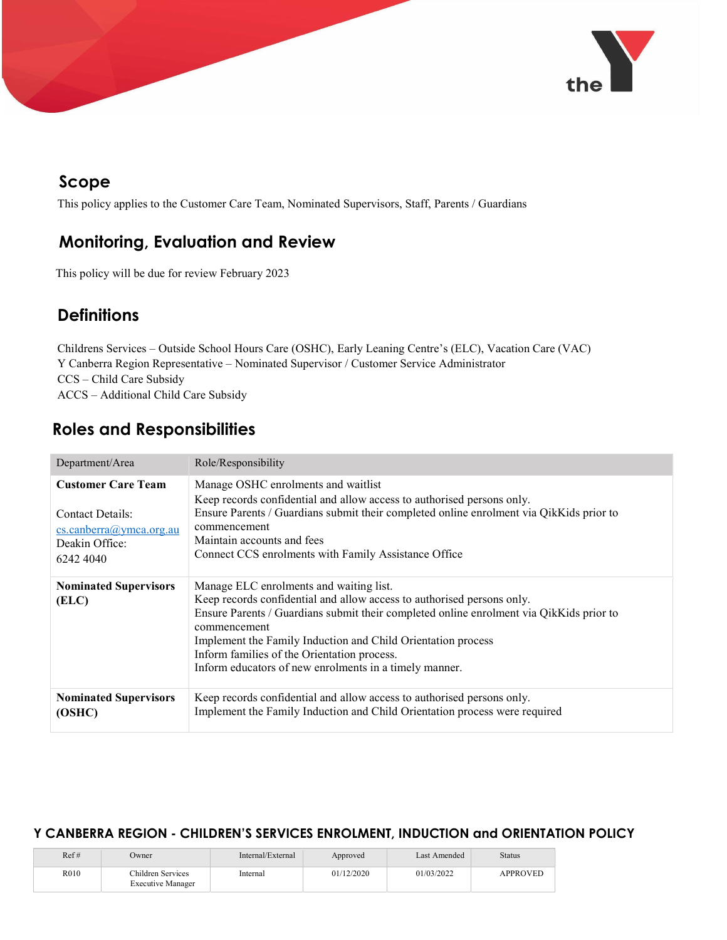

## Scope

This policy applies to the Customer Care Team, Nominated Supervisors, Staff, Parents / Guardians

## Monitoring, Evaluation and Review

This policy will be due for review February 2023

## **Definitions**

Childrens Services – Outside School Hours Care (OSHC), Early Leaning Centre's (ELC), Vacation Care (VAC) Y Canberra Region Representative – Nominated Supervisor / Customer Service Administrator CCS – Child Care Subsidy ACCS – Additional Child Care Subsidy

## Roles and Responsibilities

| Department/Area                                                                                                | Role/Responsibility                                                                                                                                                                                                                                                                                                                                                                                   |
|----------------------------------------------------------------------------------------------------------------|-------------------------------------------------------------------------------------------------------------------------------------------------------------------------------------------------------------------------------------------------------------------------------------------------------------------------------------------------------------------------------------------------------|
| <b>Customer Care Team</b><br>Contact Details:<br>$cs. can berra(a)$ ymca.org.au<br>Deakin Office:<br>6242 4040 | Manage OSHC enrolments and waitlist<br>Keep records confidential and allow access to authorised persons only.<br>Ensure Parents / Guardians submit their completed online enrolment via QikKids prior to<br>commencement<br>Maintain accounts and fees<br>Connect CCS enrolments with Family Assistance Office                                                                                        |
| <b>Nominated Supervisors</b><br>(ELC)                                                                          | Manage ELC enrolments and waiting list.<br>Keep records confidential and allow access to authorised persons only.<br>Ensure Parents / Guardians submit their completed online enrolment via QikKids prior to<br>commencement<br>Implement the Family Induction and Child Orientation process<br>Inform families of the Orientation process.<br>Inform educators of new enrolments in a timely manner. |
| <b>Nominated Supervisors</b><br>(OSHC)                                                                         | Keep records confidential and allow access to authorised persons only.<br>Implement the Family Induction and Child Orientation process were required                                                                                                                                                                                                                                                  |

| Ref# | Owner                                         | Internal/External | Approved   | Last Amended | Status          |
|------|-----------------------------------------------|-------------------|------------|--------------|-----------------|
| R010 | Children Services<br><b>Executive Manager</b> | Internal          | 01/12/2020 | 01/03/2022   | <b>APPROVED</b> |